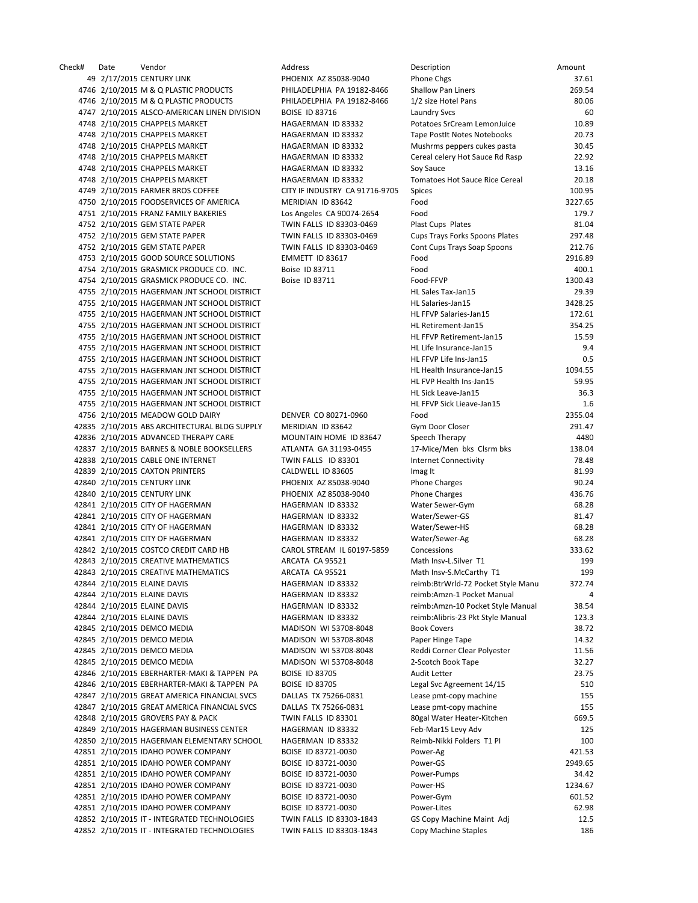Check# Date Vendor Address Description Amount 49 2/17/2015 CENTURY LINK PHOENIX AZ 85038-9040 4746 2/10/2015 M & Q PLASTIC PRODUCTS PHILADELPHIA PA 19182-8466 4746 2/10/2015 M & Q PLASTIC PRODUCTS PHILADELPHIA PA 19182-8466 4747 2/10/2015 ALSCO-AMERICAN LINEN DIVISION BOISE ID 83716 4748 2/10/2015 CHAPPELS MARKET HAGAERMAN ID 83332 4748 2/10/2015 CHAPPELS MARKET HAGAERMAN ID 83332 4748 2/10/2015 CHAPPELS MARKET HAGAERMAN ID 83332 4748 2/10/2015 CHAPPELS MARKET HAGAERMAN ID 83332 4748 2/10/2015 CHAPPELS MARKET HAGAERMAN ID 83332 4748 2/10/2015 CHAPPELS MARKET HAGAERMAN ID 83332 4749 2/10/2015 FARMER BROS COFFEE CITY IF INDUSTRY CA 91716-9705 4750 2/10/2015 FOODSERVICES OF AMERICA MERIDIAN ID 83642 4751 2/10/2015 FRANZ FAMILY BAKERIES Los Angeles CA 90074-2654 4752 2/10/2015 GEM STATE PAPER TWIN FALLS ID 83303-0469 4752 2/10/2015 GEM STATE PAPER TWIN FALLS ID 83303-0469 4752 2/10/2015 GEM STATE PAPER TWIN FALLS ID 83303-0469 4753 2/10/2015 GOOD SOURCE SOLUTIONS EMMETT ID 83617 4754 2/10/2015 GRASMICK PRODUCE CO. INC. Boise ID 83711 4754 2/10/2015 GRASMICK PRODUCE CO. INC. Boise ID 83711 4755 2/10/2015 HAGERMAN JNT SCHOOL DISTRICT 4755 2/10/2015 HAGERMAN JNT SCHOOL DISTRICT 4755 2/10/2015 HAGERMAN JNT SCHOOL DISTRICT 4755 2/10/2015 HAGERMAN JNT SCHOOL DISTRICT 4755 2/10/2015 HAGERMAN JNT SCHOOL DISTRICT 4755 2/10/2015 HAGERMAN JNT SCHOOL DISTRICT 4755 2/10/2015 HAGERMAN JNT SCHOOL DISTRICT 4755 2/10/2015 HAGERMAN JNT SCHOOL DISTRICT 4755 2/10/2015 HAGERMAN JNT SCHOOL DISTRICT 4755 2/10/2015 HAGERMAN JNT SCHOOL DISTRICT 4755 2/10/2015 HAGERMAN JNT SCHOOL DISTRICT 4756 2/10/2015 MEADOW GOLD DAIRY DENVER CO 80271-0960 42835 2/10/2015 ABS ARCHITECTURAL BLDG SUPPLY MERIDIAN ID 83642 42836 2/10/2015 ADVANCED THERAPY CARE MOUNTAIN HOME ID 83647 42837 2/10/2015 BARNES & NOBLE BOOKSELLERS ATLANTA GA 31193-0455 42838 2/10/2015 CABLE ONE INTERNET TWIN FALLS ID 83301 42839 2/10/2015 CAXTON PRINTERS CALDWELL ID 83605 42840 2/10/2015 CENTURY LINK PHOENIX AZ 85038-9040 42840 2/10/2015 CENTURY LINK PHOENIX AZ 85038-9040 42841 2/10/2015 CITY OF HAGERMAN HAGERMAN HAGERMAN ID 83332 42841 2/10/2015 CITY OF HAGERMAN HAGERMAN HAGERMAN ID 83332 42841 2/10/2015 CITY OF HAGERMAN HAGERMAN HAGERMAN ID 83332 42841 2/10/2015 CITY OF HAGERMAN HAGERMAN HAGERMAN ID 83332 42842 2/10/2015 COSTCO CREDIT CARD HB CAROL STREAM IL 60197-5859 42843 2/10/2015 CREATIVE MATHEMATICS ARCATA CA 95521 42843 2/10/2015 CREATIVE MATHEMATICS ARCATA CA 95521 42844 2/10/2015 ELAINE DAVIS HAGERMAN ID 83332 42844 2/10/2015 ELAINE DAVIS HAGERMAN ID 83332 42844 2/10/2015 FLAINE DAVIS **Example 2018** HAGERMAN ID 83332 42844 2/10/2015 ELAINE DAVIS **hagerman ID 83332** 42845 2/10/2015 DEMCO MEDIA MADISON WI 53708-8048 42845 2/10/2015 DEMCO MEDIA MADISON WI 53708-8048 42845 2/10/2015 DEMCO MEDIA MADISON WI 53708-8048 42845 2/10/2015 DEMCO MEDIA MADISON WI 53708-8048 42846 2/10/2015 EBERHARTER-MAKI & TAPPEN PA BOISE ID 83705 42846 2/10/2015 EBERHARTER-MAKI & TAPPEN PA BOISE ID 83705 42847 2/10/2015 GREAT AMERICA FINANCIAL SVCS DALLAS TX 75266-0831 42847 2/10/2015 GREAT AMERICA FINANCIAL SVCS DALLAS TX 75266-0831 42848 2/10/2015 GROVERS PAY & PACK TWIN FALLS ID 83301 42849 2/10/2015 HAGERMAN BUSINESS CENTER HAGERMAN ID 83332 42850 2/10/2015 HAGERMAN ELEMENTARY SCHOOL HAGERMAN ID 83332 42851 2/10/2015 IDAHO POWER COMPANY BOISE ID 83721-0030 42851 2/10/2015 IDAHO POWER COMPANY BOISE ID 83721-0030 42851 2/10/2015 IDAHO POWER COMPANY BOISE ID 83721-0030 42851 2/10/2015 IDAHO POWER COMPANY BOISE ID 83721-0030 42851 2/10/2015 IDAHO POWER COMPANY BOISE ID 83721-0030 42851 2/10/2015 IDAHO POWER COMPANY BOISE ID 83721-0030 42852 2/10/2015 IT - INTEGRATED TECHNOLOGIES TWIN FALLS ID 83303-1843 42852 2/10/2015 IT - INTEGRATED TECHNOLOGIES TWIN FALLS ID 83303-1843

| <b>Description</b>                                                   | Amount           |
|----------------------------------------------------------------------|------------------|
| hone Chgs <sup></sup>                                                | 37.61            |
| Shallow Pan Liners                                                   | 269.54           |
| L/2 size Hotel Pans                                                  | 80.06            |
| aundry Svcs.<br>Potatoes SrCream LemonJuice                          | 60<br>10.89      |
| <b>Fape PostIt Notes Notebooks</b>                                   | 20.73            |
| Mushrms peppers cukes pasta                                          | 30.45            |
| Cereal celery Hot Sauce Rd Rasp                                      | 22.92            |
| Soy Sauce                                                            | 13.16            |
| <b>Fomatoes Hot Sauce Rice Cereal</b>                                | 20.18            |
| Spices                                                               | 100.95           |
| Food                                                                 | 3227.65          |
| Food                                                                 | 179.7            |
| Plast Cups Plates                                                    | 81.04            |
| Cups Trays Forks Spoons Plates                                       | 297.48           |
| Cont Cups Trays Soap Spoons                                          | 212.76           |
| ood-                                                                 | 2916.89          |
| ood <sup>-</sup><br>ood-FFVP                                         | 400.1<br>1300.43 |
| <b>HL Sales Tax-Jan15</b>                                            | 29.39            |
| <b>HL Salaries-Jan15</b>                                             | 3428.25          |
| <b>IL FFVP Salaries-Jan15</b>                                        | 172.61           |
| <b>HL Retirement-Jan15</b>                                           | 354.25           |
| <b>IL FFVP Retirement-Jan15</b>                                      | 15.59            |
| <b>HL Life Insurance-Jan15</b>                                       | 9.4              |
| <b>IL FFVP Life Ins-Jan15</b>                                        | 0.5              |
| IL Health Insurance-Jan15                                            | 1094.55          |
| <b>HL FVP Health Ins-Jan15</b>                                       | 59.95            |
| <b>HL Sick Leave-Jan15</b>                                           | 36.3             |
| <b>HL FFVP Sick Lieave-Jan15</b>                                     | 1.6              |
| ood <sup>-</sup>                                                     | 2355.04          |
| Gym Door Closer                                                      | 291.47           |
| Speech Therapy                                                       | 4480             |
| 17-Mice/Men bks Clsrm bks<br>nternet Connectivity                    | 138.04<br>78.48  |
| mag It                                                               | 81.99            |
| Phone Charges                                                        | 90.24            |
| hone Charges                                                         | 436.76           |
| <b>Nater Sewer-Gym</b>                                               | 68.28            |
| Nater/Sewer-GS                                                       | 81.47            |
| Nater/Sewer-HS                                                       | 68.28            |
| Nater/Sewer-Ag                                                       | 68.28            |
| Concessions                                                          | 333.62           |
| Math Insv-L.Silver T1                                                | 199              |
| Math Insv-S.McCarthy T1                                              | 199              |
| eimb:BtrWrld-72 Pocket Style Manu                                    | 372.74           |
| eimb:Amzn-1 Pocket Manual                                            | 4<br>38.54       |
| eimb:Amzn-10 Pocket Style Manual<br>eimb:Alibris-23 Pkt Style Manual | 123.3            |
| <b>Book Covers</b>                                                   | 38.72            |
| Paper Hinge Tape                                                     | 14.32            |
| Reddi Corner Clear Polyester                                         | 11.56            |
| 2-Scotch Book Tape                                                   | 32.27            |
| Audit Letter                                                         | 23.75            |
| egal Svc Agreement 14/15                                             | 510              |
| ease pmt-copy machine                                                | 155              |
| ease pmt-copy machine                                                | 155              |
| 30gal Water Heater-Kitchen                                           | 669.5            |
| eb-Mar15 Levy Adv                                                    | 125              |
| Reimb-Nikki Folders T1 PI                                            | 100              |
| ower-Ag                                                              | 421.53           |
| ower-GS                                                              | 2949.65<br>34.42 |
| ower-Pumps<br>ower-HS                                                | 1234.67          |
| ower-Gym                                                             | 601.52           |
| ower-Lites                                                           | 62.98            |
| GS Copy Machine Maint Adj                                            | 12.5             |
| Copy Machine Staples                                                 | 186              |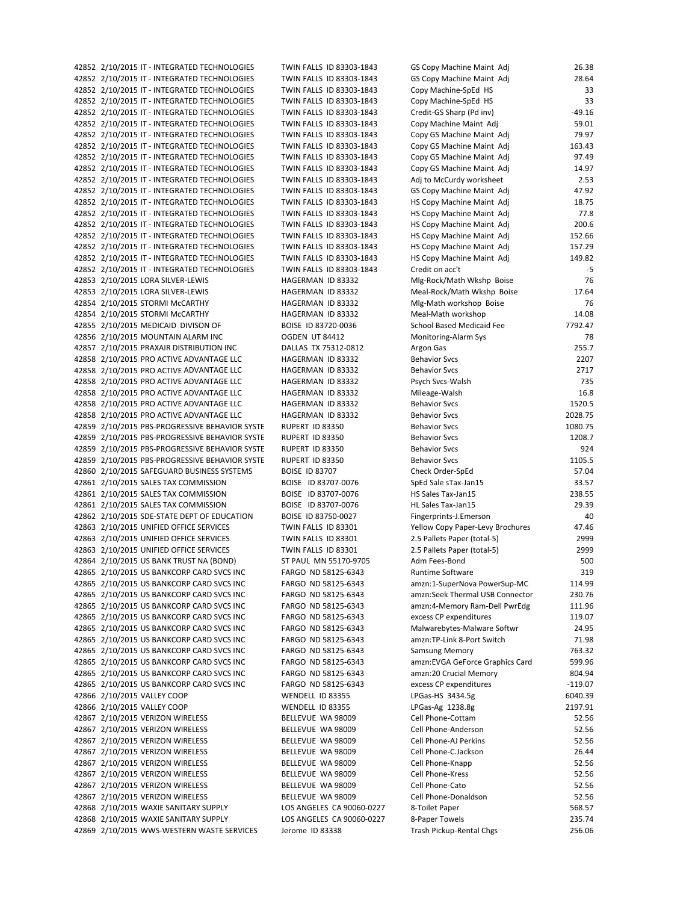42852 2/10/2015 IT - INTEGRATED TECHNOLOGIES TWIN FALLS ID 83303-1843 42852 2/10/2015 IT - INTEGRATED TECHNOLOGIES TWIN FALLS ID 83303-1843 42852 2/10/2015 IT - INTEGRATED TECHNOLOGIES TWIN FALLS ID 83303-1843 42852 2/10/2015 IT - INTEGRATED TECHNOLOGIES TWIN FALLS ID 83303-1843 42852 2/10/2015 IT - INTEGRATED TECHNOLOGIES TWIN FALLS ID 83303-1843 42852 2/10/2015 IT - INTEGRATED TECHNOLOGIES TWIN FALLS ID 83303-1843 42852 2/10/2015 IT - INTEGRATED TECHNOLOGIES TWIN FALLS ID 83303-1843 42852 2/10/2015 IT - INTEGRATED TECHNOLOGIES TWIN FALLS ID 83303-1843 42852 2/10/2015 IT - INTEGRATED TECHNOLOGIES TWIN FALLS ID 83303-1843 42852 2/10/2015 IT - INTEGRATED TECHNOLOGIES TWIN FALLS ID 83303-1843 42852 2/10/2015 IT - INTEGRATED TECHNOLOGIES TWIN FALLS ID 83303-1843 42852 2/10/2015 IT - INTEGRATED TECHNOLOGIES TWIN FALLS ID 83303-1843 42852 2/10/2015 IT - INTEGRATED TECHNOLOGIES TWIN FALLS ID 83303-1843 42852 2/10/2015 IT - INTEGRATED TECHNOLOGIES TWIN FALLS ID 83303-1843 42852 2/10/2015 IT - INTEGRATED TECHNOLOGIES TWIN FALLS ID 83303-1843 42852 2/10/2015 IT - INTEGRATED TECHNOLOGIES TWIN FALLS ID 83303-1843 42852 2/10/2015 IT - INTEGRATED TECHNOLOGIES TWIN FALLS ID 83303-1843 42852 2/10/2015 IT - INTEGRATED TECHNOLOGIES TWIN FALLS ID 83303-1843 42852 2/10/2015 IT - INTEGRATED TECHNOLOGIES TWIN FALLS ID 83303-1843 42853 2/10/2015 LORA SILVER-LEWIS HAGERMAN ID 83332 42853 2/10/2015 LORA SILVER-LEWIS HAGERMAN ID 83332 42854 2/10/2015 STORMI McCARTHY HAGERMAN ID 83332 42854 2/10/2015 STORMI McCARTHY **HAGERMAN ID 83332** 42855 2/10/2015 MEDICAID DIVISON OF BOISE ID 83720-0036 42856 2/10/2015 MOUNTAIN ALARM INC OGDEN UT 84412 42857 2/10/2015 PRAXAIR DISTRIBUTION INC DALLAS TX 75312-0812 42858 2/10/2015 PRO ACTIVE ADVANTAGE LLC HAGERMAN ID 83332 42858 2/10/2015 PRO ACTIVE ADVANTAGE LLC HAGERMAN ID 83332 42858 2/10/2015 PRO ACTIVE ADVANTAGE LLC HAGERMAN ID 83332 42858 2/10/2015 PRO ACTIVE ADVANTAGE LLC HAGERMAN ID 83332 42858 2/10/2015 PRO ACTIVE ADVANTAGE LLC HAGERMAN ID 83332 42858 2/10/2015 PRO ACTIVE ADVANTAGE LLC HAGERMAN ID 83332 42859 2/10/2015 PBS-PROGRESSIVE BEHAVIOR SYSTE RUPERT ID 83350 42859 2/10/2015 PBS-PROGRESSIVE BEHAVIOR SYSTE BUPERT ID 83350 42859 2/10/2015 PBS-PROGRESSIVE BEHAVIOR SYSTE RUPERT ID 83350 42859 2/10/2015 PBS-PROGRESSIVE BEHAVIOR SYSTE RUPERT ID 83350 42860 2/10/2015 SAFEGUARD BUSINESS SYSTEMS BOISE ID 83707 42861 2/10/2015 SALES TAX COMMISSION BOISE ID 83707-0076 42861 2/10/2015 SALES TAX COMMISSION BOISE ID 83707-0076 42861 2/10/2015 SALES TAX COMMISSION BOISE ID 83707-0076 42862 2/10/2015 SDE-STATE DEPT OF EDUCATION BOISE ID 83750-0027 42863 2/10/2015 UNIFIED OFFICE SERVICES TWIN FALLS ID 83301 42863 2/10/2015 UNIFIED OFFICE SERVICES TWIN FALLS ID 83301 42863 2/10/2015 UNIFIED OFFICE SERVICES TWIN FALLS ID 83301 42864 2/10/2015 US BANK TRUST NA (BOND) ST PAUL MN 55170-9705 42865 2/10/2015 US BANKCORP CARD SVCS INC FARGO ND 58125-6343 42865 2/10/2015 US BANKCORP CARD SVCS INC FARGO ND 58125-6343 42865 2/10/2015 US BANKCORP CARD SVCS INC FARGO ND 58125-6343 42865 2/10/2015 US BANKCORP CARD SVCS INC FARGO ND 58125-6343 42865 2/10/2015 US BANKCORP CARD SVCS INC FARGO ND 58125-6343 42865 2/10/2015 US BANKCORP CARD SVCS INC FARGO ND 58125-6343 42865 2/10/2015 US BANKCORP CARD SVCS INC FARGO ND 58125-6343 42865 2/10/2015 US BANKCORP CARD SVCS INC FARGO ND 58125-6343 42865 2/10/2015 US BANKCORP CARD SVCS INC FARGO ND 58125-6343 42865 2/10/2015 US BANKCORP CARD SVCS INC FARGO ND 58125-6343 42865 2/10/2015 US BANKCORP CARD SVCS INC FARGO ND 58125-6343 42866 2/10/2015 VALLEY COOP WENDELL ID 83355 42866 2/10/2015 VALLEY COOP WENDELL ID 83355 42867 2/10/2015 VERIZON WIRELESS BELLEVUE WA 98009 42867 2/10/2015 VERIZON WIRELESS BELLEVUE WA 98009 42867 2/10/2015 VERIZON WIRELESS BELLEVUE WA 98009 42867 2/10/2015 VERIZON WIRELESS BELLEVUE WA 98009 42867 2/10/2015 VERIZON WIRELESS BELLEVUE WA 98009 42867 2/10/2015 VERIZON WIRELESS BELLEVUE WA 98009 42867 2/10/2015 VERIZON WIRELESS BELLEVUE WA 98009 42867 2/10/2015 VERIZON WIRELESS BELLEVUE WA 98009 42868 2/10/2015 WAXIE SANITARY SUPPLY LOS ANGELES CA 90060-0227 42868 2/10/2015 WAXIE SANITARY SUPPLY LOS ANGELES CA 90060-0227 42869 2/10/2015 WWS-WESTERN WASTE SERVICES Jerome ID 83338

| GS Copy Machine Maint Adj                              | 26.38            |
|--------------------------------------------------------|------------------|
| GS Copy Machine Maint Adj                              | 28.64            |
| Copy Machine-SpEd HS                                   | 33               |
| Copy Machine-SpEd HS                                   | 33               |
| Credit-GS Sharp (Pd inv)                               | $-49.16$         |
| Copy Machine Maint Adj<br>Copy GS Machine Maint Adj    | 59.01<br>79.97   |
| Copy GS Machine Maint Adj                              | 163.43           |
| Copy GS Machine Maint Adj                              | 97.49            |
| Copy GS Machine Maint Adj                              | 14.97            |
| Adj to McCurdy worksheet                               | 2.53             |
| GS Copy Machine Maint Adj                              | 47.92            |
| HS Copy Machine Maint Adj                              | 18.75            |
| HS Copy Machine Maint Adj                              | 77.8             |
| HS Copy Machine Maint Adj                              | 200.6            |
| HS Copy Machine Maint Adj                              | 152.66           |
| HS Copy Machine Maint Adj                              | 157.29           |
| HS Copy Machine Maint Adj                              | 149.82           |
| Credit on acc't                                        | -5               |
| Mlg-Rock/Math Wkshp Boise                              | 76               |
| Meal-Rock/Math Wkshp Boise                             | 17.64            |
| Mlg-Math workshop Boise                                | 76               |
| Meal-Math workshop<br><b>School Based Medicaid Fee</b> | 14.08<br>7792.47 |
| Monitoring-Alarm Sys                                   | 78               |
| Argon Gas                                              | 255.7            |
| <b>Behavior Svcs</b>                                   | 2207             |
| <b>Behavior Svcs</b>                                   | 2717             |
| Psych Svcs-Walsh                                       | 735              |
| Mileage-Walsh                                          | 16.8             |
| <b>Behavior Svcs</b>                                   | 1520.5           |
| <b>Behavior Svcs</b>                                   | 2028.75          |
| <b>Behavior Svcs</b>                                   | 1080.75          |
| <b>Behavior Svcs</b>                                   | 1208.7           |
| <b>Behavior Svcs</b>                                   | 924              |
| <b>Behavior Svcs</b>                                   | 1105.5           |
| Check Order-SpEd                                       | 57.04            |
| SpEd Sale sTax-Jan15                                   | 33.57            |
| HS Sales Tax-Jan15<br>HL Sales Tax-Jan15               | 238.55<br>29.39  |
| Fingerprints-J.Emerson                                 | 40               |
| Yellow Copy Paper-Levy Brochures                       | 47.46            |
| 2.5 Pallets Paper (total-5)                            | 2999             |
| 2.5 Pallets Paper (total-5)                            | 2999             |
| Adm Fees-Bond                                          | 500              |
| <b>Runtime Software</b>                                | 319              |
| amzn:1-SuperNova PowerSup-MC                           | 114.99           |
| amzn:Seek Thermal USB Connector                        | 230.76           |
| amzn:4-Memory Ram-Dell PwrEdg                          | 111.96           |
| excess CP expenditures                                 | 119.07           |
| Malwarebytes-Malware Softwr                            | 24.95            |
| amzn:TP-Link 8-Port Switch<br><b>Samsung Memory</b>    | 71.98<br>763.32  |
| amzn:EVGA GeForce Graphics Card                        | 599.96           |
| amzn:20 Crucial Memory                                 | 804.94           |
| excess CP expenditures                                 | $-119.07$        |
| LPGas-HS 3434.5g                                       | 6040.39          |
| LPGas-Ag 1238.8g                                       | 2197.91          |
| Cell Phone-Cottam                                      | 52.56            |
| Cell Phone-Anderson                                    | 52.56            |
| Cell Phone-AJ Perkins                                  | 52.56            |
| Cell Phone-C.Jackson                                   | 26.44            |
| Cell Phone-Knapp                                       | 52.56            |
| Cell Phone-Kress                                       | 52.56            |
| Cell Phone-Cato                                        | 52.56            |
| Cell Phone-Donaldson<br>8-Toilet Paper                 | 52.56<br>568.57  |
| 8-Paper Towels                                         | 235.74           |
| Trash Pickup-Rental Chgs                               | 256.06           |
|                                                        |                  |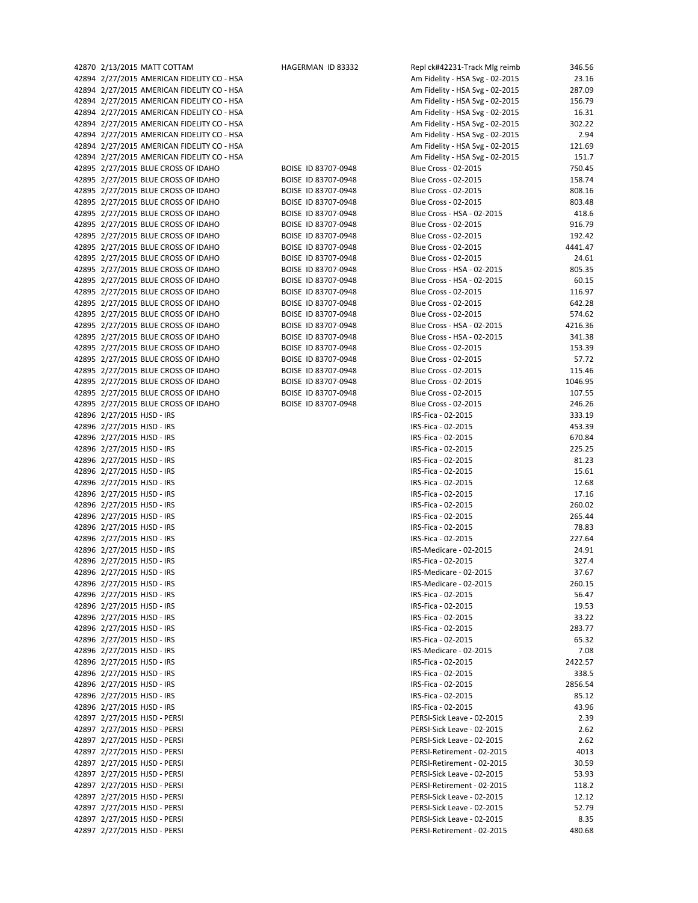| 42870 2/13/2015 MATT COTTAM                | HAGERMAN ID 83332   | Repl ck#42231-Track Mlg reimb   | 346.56  |
|--------------------------------------------|---------------------|---------------------------------|---------|
| 42894 2/27/2015 AMERICAN FIDELITY CO - HSA |                     | Am Fidelity - HSA Svg - 02-2015 | 23.16   |
| 42894 2/27/2015 AMERICAN FIDELITY CO - HSA |                     | Am Fidelity - HSA Svg - 02-2015 | 287.09  |
| 42894 2/27/2015 AMERICAN FIDELITY CO - HSA |                     | Am Fidelity - HSA Svg - 02-2015 | 156.79  |
| 42894 2/27/2015 AMERICAN FIDELITY CO - HSA |                     | Am Fidelity - HSA Svg - 02-2015 | 16.31   |
|                                            |                     |                                 |         |
| 42894 2/27/2015 AMERICAN FIDELITY CO - HSA |                     | Am Fidelity - HSA Svg - 02-2015 | 302.22  |
| 42894 2/27/2015 AMERICAN FIDELITY CO - HSA |                     | Am Fidelity - HSA Svg - 02-2015 | 2.94    |
| 42894 2/27/2015 AMERICAN FIDELITY CO - HSA |                     | Am Fidelity - HSA Svg - 02-2015 | 121.69  |
| 42894 2/27/2015 AMERICAN FIDELITY CO - HSA |                     | Am Fidelity - HSA Svg - 02-2015 | 151.7   |
| 42895 2/27/2015 BLUE CROSS OF IDAHO        | BOISE ID 83707-0948 | Blue Cross - 02-2015            | 750.45  |
| 42895 2/27/2015 BLUE CROSS OF IDAHO        | BOISE ID 83707-0948 | Blue Cross - 02-2015            | 158.74  |
| 42895 2/27/2015 BLUE CROSS OF IDAHO        | BOISE ID 83707-0948 | Blue Cross - 02-2015            | 808.16  |
|                                            | BOISE ID 83707-0948 | Blue Cross - 02-2015            | 803.48  |
| 42895 2/27/2015 BLUE CROSS OF IDAHO        |                     |                                 |         |
| 42895 2/27/2015 BLUE CROSS OF IDAHO        | BOISE ID 83707-0948 | Blue Cross - HSA - 02-2015      | 418.6   |
| 42895 2/27/2015 BLUE CROSS OF IDAHO        | BOISE ID 83707-0948 | Blue Cross - 02-2015            | 916.79  |
| 42895 2/27/2015 BLUE CROSS OF IDAHO        | BOISE ID 83707-0948 | Blue Cross - 02-2015            | 192.42  |
| 42895 2/27/2015 BLUE CROSS OF IDAHO        | BOISE ID 83707-0948 | Blue Cross - 02-2015            | 4441.47 |
| 42895 2/27/2015 BLUE CROSS OF IDAHO        | BOISE ID 83707-0948 | Blue Cross - 02-2015            | 24.61   |
| 42895 2/27/2015 BLUE CROSS OF IDAHO        | BOISE ID 83707-0948 | Blue Cross - HSA - 02-2015      | 805.35  |
| 42895 2/27/2015 BLUE CROSS OF IDAHO        | BOISE ID 83707-0948 | Blue Cross - HSA - 02-2015      | 60.15   |
|                                            |                     |                                 |         |
| 42895 2/27/2015 BLUE CROSS OF IDAHO        | BOISE ID 83707-0948 | Blue Cross - 02-2015            | 116.97  |
| 42895 2/27/2015 BLUE CROSS OF IDAHO        | BOISE ID 83707-0948 | Blue Cross - 02-2015            | 642.28  |
| 42895 2/27/2015 BLUE CROSS OF IDAHO        | BOISE ID 83707-0948 | Blue Cross - 02-2015            | 574.62  |
| 42895 2/27/2015 BLUE CROSS OF IDAHO        | BOISE ID 83707-0948 | Blue Cross - HSA - 02-2015      | 4216.36 |
| 42895 2/27/2015 BLUE CROSS OF IDAHO        | BOISE ID 83707-0948 | Blue Cross - HSA - 02-2015      | 341.38  |
| 42895 2/27/2015 BLUE CROSS OF IDAHO        | BOISE ID 83707-0948 | Blue Cross - 02-2015            | 153.39  |
| 42895 2/27/2015 BLUE CROSS OF IDAHO        | BOISE ID 83707-0948 | Blue Cross - 02-2015            | 57.72   |
| 42895 2/27/2015 BLUE CROSS OF IDAHO        |                     |                                 |         |
|                                            | BOISE ID 83707-0948 | Blue Cross - 02-2015            | 115.46  |
| 42895 2/27/2015 BLUE CROSS OF IDAHO        | BOISE ID 83707-0948 | Blue Cross - 02-2015            | 1046.95 |
| 42895 2/27/2015 BLUE CROSS OF IDAHO        | BOISE ID 83707-0948 | Blue Cross - 02-2015            | 107.55  |
| 42895 2/27/2015 BLUE CROSS OF IDAHO        | BOISE ID 83707-0948 | Blue Cross - 02-2015            | 246.26  |
| 42896 2/27/2015 HJSD - IRS                 |                     | IRS-Fica - 02-2015              | 333.19  |
| 42896 2/27/2015 HJSD - IRS                 |                     | IRS-Fica - 02-2015              | 453.39  |
| 42896 2/27/2015 HJSD - IRS                 |                     | IRS-Fica - 02-2015              | 670.84  |
|                                            |                     |                                 |         |
| 42896 2/27/2015 HJSD - IRS                 |                     | IRS-Fica - 02-2015              | 225.25  |
| 42896 2/27/2015 HJSD - IRS                 |                     | IRS-Fica - 02-2015              | 81.23   |
| 42896 2/27/2015 HJSD - IRS                 |                     | IRS-Fica - 02-2015              | 15.61   |
| 42896 2/27/2015 HJSD - IRS                 |                     | IRS-Fica - 02-2015              | 12.68   |
| 42896 2/27/2015 HJSD - IRS                 |                     | IRS-Fica - 02-2015              | 17.16   |
| 42896 2/27/2015 HJSD - IRS                 |                     | IRS-Fica - 02-2015              | 260.02  |
| 42896 2/27/2015 HJSD - IRS                 |                     | IRS-Fica - 02-2015              | 265.44  |
| 42896 2/27/2015 HJSD - IRS                 |                     | IRS-Fica - 02-2015              | 78.83   |
|                                            |                     |                                 |         |
| 42896 2/27/2015 HJSD - IRS                 |                     | IRS-Fica - 02-2015              | 227.64  |
| 42896 2/27/2015 HJSD - IRS                 |                     | IRS-Medicare - 02-2015          | 24.91   |
| 42896 2/27/2015 HJSD - IRS                 |                     | IRS-Fica - 02-2015              | 327.4   |
| 42896 2/27/2015 HJSD - IRS                 |                     | IRS-Medicare - 02-2015          | 37.67   |
| 42896 2/27/2015 HJSD - IRS                 |                     | IRS-Medicare - 02-2015          | 260.15  |
| 42896 2/27/2015 HJSD - IRS                 |                     | IRS-Fica - 02-2015              | 56.47   |
| 42896 2/27/2015 HJSD - IRS                 |                     | IRS-Fica - 02-2015              | 19.53   |
|                                            |                     |                                 |         |
| 42896 2/27/2015 HJSD - IRS                 |                     | IRS-Fica - 02-2015              | 33.22   |
| 42896 2/27/2015 HJSD - IRS                 |                     | IRS-Fica - 02-2015              | 283.77  |
| 42896 2/27/2015 HJSD - IRS                 |                     | IRS-Fica - 02-2015              | 65.32   |
| 42896 2/27/2015 HJSD - IRS                 |                     | IRS-Medicare - 02-2015          | 7.08    |
| 42896 2/27/2015 HJSD - IRS                 |                     | IRS-Fica - 02-2015              | 2422.57 |
| 42896 2/27/2015 HJSD - IRS                 |                     | IRS-Fica - 02-2015              | 338.5   |
|                                            |                     |                                 |         |
| 42896 2/27/2015 HJSD - IRS                 |                     | IRS-Fica - 02-2015              | 2856.54 |
| 42896 2/27/2015 HJSD - IRS                 |                     | IRS-Fica - 02-2015              | 85.12   |
| 42896 2/27/2015 HJSD - IRS                 |                     | IRS-Fica - 02-2015              | 43.96   |
| 42897 2/27/2015 HJSD - PERSI               |                     | PERSI-Sick Leave - 02-2015      | 2.39    |
| 42897 2/27/2015 HJSD - PERSI               |                     | PERSI-Sick Leave - 02-2015      | 2.62    |
| 42897 2/27/2015 HJSD - PERSI               |                     | PERSI-Sick Leave - 02-2015      | 2.62    |
|                                            |                     |                                 |         |
| 42897 2/27/2015 HJSD - PERSI               |                     | PERSI-Retirement - 02-2015      | 4013    |
| 42897 2/27/2015 HJSD - PERSI               |                     | PERSI-Retirement - 02-2015      | 30.59   |
| 42897 2/27/2015 HJSD - PERSI               |                     | PERSI-Sick Leave - 02-2015      | 53.93   |
| 42897 2/27/2015 HJSD - PERSI               |                     | PERSI-Retirement - 02-2015      | 118.2   |
| 42897 2/27/2015 HJSD - PERSI               |                     | PERSI-Sick Leave - 02-2015      | 12.12   |
| 42897 2/27/2015 HJSD - PERSI               |                     | PERSI-Sick Leave - 02-2015      | 52.79   |
|                                            |                     | PERSI-Sick Leave - 02-2015      | 8.35    |
| 42897 2/27/2015 HJSD - PERSI               |                     |                                 |         |
| 42897 2/27/2015 HJSD - PERSI               |                     | PERSI-Retirement - 02-2015      | 480.68  |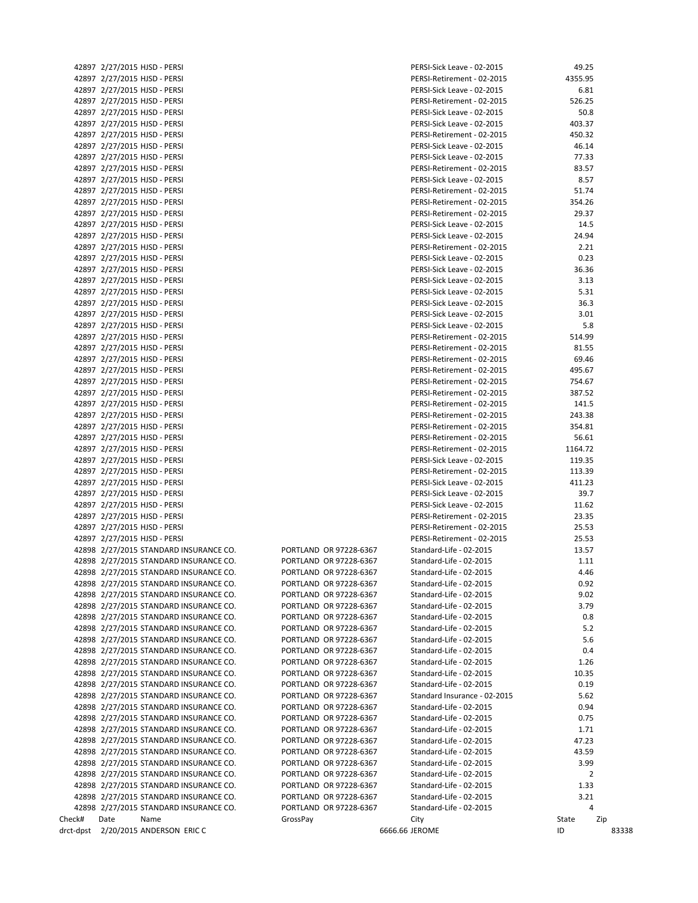|       | 42897 2/27/2015 HJSD - PERSI         |
|-------|--------------------------------------|
| 42897 | 2/27/2015 HJSD - PERSI               |
| 42897 | 2/27/2015 HJSD - PERSI               |
|       | 42897 2/27/2015 HJSD - PERSI         |
|       | 42897 2/27/2015 HJSD - PERSI         |
|       | 42897 2/27/2015 HJSD - PERSI         |
|       | 42897 2/27/2015 HJSD - PERSI         |
|       | 42897 2/27/2015 HJSD - PERSI         |
|       | 42897 2/27/2015 HJSD - PERSI         |
|       |                                      |
|       | 42897 2/27/2015 HJSD - PERSI         |
|       | 42897 2/27/2015 HJSD - PERSI         |
|       | 42897 2/27/2015 HJSD - PERSI         |
|       | 42897 2/27/2015 HJSD - PERSI         |
| 42897 | 2/27/2015 HJSD - PERSI               |
|       | 42897 2/27/2015 HJSD - PERSI         |
|       | 42897 2/27/2015 HJSD - PERSI         |
|       | 42897 2/27/2015 HJSD - PERSI         |
|       | 42897 2/27/2015 HJSD - PERSI         |
|       | 42897 2/27/2015 HJSD - PERSI         |
|       | 42897 2/27/2015 HJSD - PERSI         |
|       | 42897 2/27/2015 HJSD - PERSI         |
|       | 42897 2/27/2015 HJSD - PERSI         |
|       | 42897 2/27/2015 HJSD - PERSI         |
|       | 42897 2/27/2015 HJSD - PERSI         |
|       | 42897 2/27/2015 HJSD - PERSI         |
|       | 42897 2/27/2015 HJSD - PERSI         |
|       | 42897 2/27/2015 HJSD - PERSI         |
| 42897 | 2/27/2015 HJSD - PERSI               |
|       | 42897 2/27/2015 HJSD - PERSI         |
|       |                                      |
|       | 42897 2/27/2015 HJSD - PERSI         |
| 42897 | 2/27/2015 HJSD - PERSI               |
|       | 42897 2/27/2015 HJSD - PERSI         |
|       | 42897 2/27/2015 HJSD - PERSI         |
| 42897 | 2/27/2015 HJSD - PERSI               |
|       | 42897 2/27/2015 HJSD - PERSI         |
| 42897 | 2/27/2015 HJSD - PERSI               |
|       | 42897 2/27/2015 HJSD - PERSI         |
|       | 42897 2/27/2015 HJSD - PERSI         |
| 42897 | 2/27/2015 HJSD - PERSI               |
|       | 42897 2/27/2015 HJSD - PERSI         |
|       | 42897 2/27/2015 HJSD - PERSI         |
| 42897 | 2/27/2015 HJSD - PERSI               |
|       | 42897 2/27/2015 HJSD - PERSI         |
|       | 42898 2/27/2015 STANDARD INSURANCE C |
|       | 42898 2/27/2015 STANDARD INSURANCE C |
| 42898 | 2/27/2015 STANDARD INSURANCE C       |
| 42898 | 2/27/2015 STANDARD INSURANCE C       |
|       | 42898 2/27/2015 STANDARD INSURANCE C |
|       | 42898 2/27/2015 STANDARD INSURANCE C |
| 42898 | 2/27/2015 STANDARD INSURANCE C       |
|       | 42898 2/27/2015 STANDARD INSURANCE C |
| 42898 | 2/27/2015 STANDARD INSURANCE C       |
| 42898 | 2/27/2015 STANDARD INSURANCE C       |
| 42898 | 2/27/2015 STANDARD INSURANCE C       |
| 42898 | 2/27/2015 STANDARD INSURANCE C       |
| 42898 | 2/27/2015 STANDARD INSURANCE C       |
| 42898 | 2/27/2015 STANDARD INSURANCE C       |
| 42898 | 2/27/2015 STANDARD INSURANCE C       |
|       | 42898 2/27/2015 STANDARD INSURANCE C |
|       | 2/27/2015 STANDARD INSURANCE C       |
| 42898 | 2/27/2015 STANDARD INSURANCE C       |
| 42898 | 2/27/2015 STANDARD INSURANCE C       |
| 42898 |                                      |
|       | 42898 2/27/2015 STANDARD INSURANCE C |
| 42898 | 2/27/2015 STANDARD INSURANCE C       |
|       | 42898 2/27/2015 STANDARD INSURANCE C |
|       | 42898 2/27/2015 STANDARD INSURANCE C |
|       | 42898 2/27/2015 STANDARD INSURANCE C |
| าeck# | Date<br>Name                         |
|       | ct-dpst 2/20/2015 ANDERSON ERIC C    |

|        | 42897 2/27/2015 HJSD - PERSI           |          |                        |                | PERSI-Sick Leave - 02-2015   | 49.25   |       |
|--------|----------------------------------------|----------|------------------------|----------------|------------------------------|---------|-------|
|        | 42897 2/27/2015 HJSD - PERSI           |          |                        |                | PERSI-Retirement - 02-2015   | 4355.95 |       |
|        | 42897 2/27/2015 HJSD - PERSI           |          |                        |                | PERSI-Sick Leave - 02-2015   | 6.81    |       |
|        | 42897 2/27/2015 HJSD - PERSI           |          |                        |                | PERSI-Retirement - 02-2015   | 526.25  |       |
|        |                                        |          |                        |                |                              |         |       |
|        | 42897 2/27/2015 HJSD - PERSI           |          |                        |                | PERSI-Sick Leave - 02-2015   | 50.8    |       |
|        | 42897 2/27/2015 HJSD - PERSI           |          |                        |                | PERSI-Sick Leave - 02-2015   | 403.37  |       |
|        | 42897 2/27/2015 HJSD - PERSI           |          |                        |                | PERSI-Retirement - 02-2015   | 450.32  |       |
|        | 42897 2/27/2015 HJSD - PERSI           |          |                        |                | PERSI-Sick Leave - 02-2015   | 46.14   |       |
|        |                                        |          |                        |                | PERSI-Sick Leave - 02-2015   | 77.33   |       |
|        | 42897 2/27/2015 HJSD - PERSI           |          |                        |                |                              |         |       |
|        | 42897 2/27/2015 HJSD - PERSI           |          |                        |                | PERSI-Retirement - 02-2015   | 83.57   |       |
|        | 42897 2/27/2015 HJSD - PERSI           |          |                        |                | PERSI-Sick Leave - 02-2015   | 8.57    |       |
|        | 42897 2/27/2015 HJSD - PERSI           |          |                        |                | PERSI-Retirement - 02-2015   | 51.74   |       |
|        | 42897 2/27/2015 HJSD - PERSI           |          |                        |                | PERSI-Retirement - 02-2015   | 354.26  |       |
|        |                                        |          |                        |                |                              |         |       |
|        | 42897 2/27/2015 HJSD - PERSI           |          |                        |                | PERSI-Retirement - 02-2015   | 29.37   |       |
|        | 42897 2/27/2015 HJSD - PERSI           |          |                        |                | PERSI-Sick Leave - 02-2015   | 14.5    |       |
|        | 42897 2/27/2015 HJSD - PERSI           |          |                        |                | PERSI-Sick Leave - 02-2015   | 24.94   |       |
|        | 42897 2/27/2015 HJSD - PERSI           |          |                        |                | PERSI-Retirement - 02-2015   | 2.21    |       |
|        |                                        |          |                        |                |                              |         |       |
|        | 42897 2/27/2015 HJSD - PERSI           |          |                        |                | PERSI-Sick Leave - 02-2015   | 0.23    |       |
|        | 42897 2/27/2015 HJSD - PERSI           |          |                        |                | PERSI-Sick Leave - 02-2015   | 36.36   |       |
|        | 42897 2/27/2015 HJSD - PERSI           |          |                        |                | PERSI-Sick Leave - 02-2015   | 3.13    |       |
|        | 42897 2/27/2015 HJSD - PERSI           |          |                        |                | PERSI-Sick Leave - 02-2015   | 5.31    |       |
|        |                                        |          |                        |                |                              |         |       |
|        | 42897 2/27/2015 HJSD - PERSI           |          |                        |                | PERSI-Sick Leave - 02-2015   | 36.3    |       |
|        | 42897 2/27/2015 HJSD - PERSI           |          |                        |                | PERSI-Sick Leave - 02-2015   | 3.01    |       |
|        | 42897 2/27/2015 HJSD - PERSI           |          |                        |                | PERSI-Sick Leave - 02-2015   | 5.8     |       |
|        | 42897 2/27/2015 HJSD - PERSI           |          |                        |                | PERSI-Retirement - 02-2015   | 514.99  |       |
|        | 42897 2/27/2015 HJSD - PERSI           |          |                        |                | PERSI-Retirement - 02-2015   | 81.55   |       |
|        |                                        |          |                        |                |                              |         |       |
|        | 42897 2/27/2015 HJSD - PERSI           |          |                        |                | PERSI-Retirement - 02-2015   | 69.46   |       |
|        | 42897 2/27/2015 HJSD - PERSI           |          |                        |                | PERSI-Retirement - 02-2015   | 495.67  |       |
|        | 42897 2/27/2015 HJSD - PERSI           |          |                        |                | PERSI-Retirement - 02-2015   | 754.67  |       |
|        | 42897 2/27/2015 HJSD - PERSI           |          |                        |                | PERSI-Retirement - 02-2015   | 387.52  |       |
|        |                                        |          |                        |                |                              |         |       |
|        | 42897 2/27/2015 HJSD - PERSI           |          |                        |                | PERSI-Retirement - 02-2015   | 141.5   |       |
|        | 42897 2/27/2015 HJSD - PERSI           |          |                        |                | PERSI-Retirement - 02-2015   | 243.38  |       |
|        | 42897 2/27/2015 HJSD - PERSI           |          |                        |                | PERSI-Retirement - 02-2015   | 354.81  |       |
|        | 42897 2/27/2015 HJSD - PERSI           |          |                        |                | PERSI-Retirement - 02-2015   | 56.61   |       |
|        |                                        |          |                        |                |                              |         |       |
|        | 42897 2/27/2015 HJSD - PERSI           |          |                        |                | PERSI-Retirement - 02-2015   | 1164.72 |       |
|        | 42897 2/27/2015 HJSD - PERSI           |          |                        |                | PERSI-Sick Leave - 02-2015   | 119.35  |       |
|        | 42897 2/27/2015 HJSD - PERSI           |          |                        |                | PERSI-Retirement - 02-2015   | 113.39  |       |
|        | 42897 2/27/2015 HJSD - PERSI           |          |                        |                | PERSI-Sick Leave - 02-2015   | 411.23  |       |
|        | 42897 2/27/2015 HJSD - PERSI           |          |                        |                |                              | 39.7    |       |
|        |                                        |          |                        |                | PERSI-Sick Leave - 02-2015   |         |       |
|        | 42897 2/27/2015 HJSD - PERSI           |          |                        |                | PERSI-Sick Leave - 02-2015   | 11.62   |       |
|        | 42897 2/27/2015 HJSD - PERSI           |          |                        |                | PERSI-Retirement - 02-2015   | 23.35   |       |
|        | 42897 2/27/2015 HJSD - PERSI           |          |                        |                | PERSI-Retirement - 02-2015   | 25.53   |       |
|        | 42897 2/27/2015 HJSD - PERSI           |          |                        |                | PERSI-Retirement - 02-2015   | 25.53   |       |
|        |                                        |          |                        |                |                              |         |       |
|        | 42898 2/27/2015 STANDARD INSURANCE CO. |          | PORTLAND OR 97228-6367 |                | Standard-Life - 02-2015      | 13.57   |       |
|        | 42898 2/27/2015 STANDARD INSURANCE CO. |          | PORTLAND OR 97228-6367 |                | Standard-Life - 02-2015      | 1.11    |       |
|        | 42898 2/27/2015 STANDARD INSURANCE CO. |          | PORTLAND OR 97228-6367 |                | Standard-Life - 02-2015      | 4.46    |       |
|        | 42898 2/27/2015 STANDARD INSURANCE CO. |          | PORTLAND OR 97228-6367 |                | Standard-Life - 02-2015      | 0.92    |       |
|        |                                        |          |                        |                |                              |         |       |
|        | 42898 2/27/2015 STANDARD INSURANCE CO. |          | PORTLAND OR 97228-6367 |                | Standard-Life - 02-2015      | 9.02    |       |
|        | 42898 2/27/2015 STANDARD INSURANCE CO. |          | PORTLAND OR 97228-6367 |                | Standard-Life - 02-2015      | 3.79    |       |
|        | 42898 2/27/2015 STANDARD INSURANCE CO. |          | PORTLAND OR 97228-6367 |                | Standard-Life - 02-2015      | 0.8     |       |
|        | 42898 2/27/2015 STANDARD INSURANCE CO. |          | PORTLAND OR 97228-6367 |                | Standard-Life - 02-2015      | 5.2     |       |
|        | 42898 2/27/2015 STANDARD INSURANCE CO. |          | PORTLAND OR 97228-6367 |                | Standard-Life - 02-2015      | 5.6     |       |
|        |                                        |          |                        |                |                              |         |       |
|        | 42898 2/27/2015 STANDARD INSURANCE CO. |          | PORTLAND OR 97228-6367 |                | Standard-Life - 02-2015      | 0.4     |       |
|        | 42898 2/27/2015 STANDARD INSURANCE CO. |          | PORTLAND OR 97228-6367 |                | Standard-Life - 02-2015      | 1.26    |       |
|        | 42898 2/27/2015 STANDARD INSURANCE CO. |          | PORTLAND OR 97228-6367 |                | Standard-Life - 02-2015      | 10.35   |       |
|        | 42898 2/27/2015 STANDARD INSURANCE CO. |          | PORTLAND OR 97228-6367 |                | Standard-Life - 02-2015      | 0.19    |       |
|        |                                        |          |                        |                |                              |         |       |
|        | 42898 2/27/2015 STANDARD INSURANCE CO. |          | PORTLAND OR 97228-6367 |                | Standard Insurance - 02-2015 | 5.62    |       |
|        | 42898 2/27/2015 STANDARD INSURANCE CO. |          | PORTLAND OR 97228-6367 |                | Standard-Life - 02-2015      | 0.94    |       |
|        | 42898 2/27/2015 STANDARD INSURANCE CO. |          | PORTLAND OR 97228-6367 |                | Standard-Life - 02-2015      | 0.75    |       |
|        | 42898 2/27/2015 STANDARD INSURANCE CO. |          | PORTLAND OR 97228-6367 |                | Standard-Life - 02-2015      | 1.71    |       |
|        |                                        |          |                        |                |                              |         |       |
|        | 42898 2/27/2015 STANDARD INSURANCE CO. |          | PORTLAND OR 97228-6367 |                | Standard-Life - 02-2015      | 47.23   |       |
|        | 42898 2/27/2015 STANDARD INSURANCE CO. |          | PORTLAND OR 97228-6367 |                | Standard-Life - 02-2015      | 43.59   |       |
|        | 42898 2/27/2015 STANDARD INSURANCE CO. |          | PORTLAND OR 97228-6367 |                | Standard-Life - 02-2015      | 3.99    |       |
|        | 42898 2/27/2015 STANDARD INSURANCE CO. |          | PORTLAND OR 97228-6367 |                | Standard-Life - 02-2015      |         | 2     |
|        | 42898 2/27/2015 STANDARD INSURANCE CO. |          | PORTLAND OR 97228-6367 |                | Standard-Life - 02-2015      | 1.33    |       |
|        |                                        |          |                        |                |                              |         |       |
|        | 42898 2/27/2015 STANDARD INSURANCE CO. |          | PORTLAND OR 97228-6367 |                | Standard-Life - 02-2015      | 3.21    |       |
|        | 42898 2/27/2015 STANDARD INSURANCE CO. |          | PORTLAND OR 97228-6367 |                | Standard-Life - 02-2015      |         | 4     |
| Check# | Date<br>Name                           | GrossPay |                        |                | City                         | State   | Zip   |
|        | drct-dpst 2/20/2015 ANDERSON ERIC C    |          |                        | 6666.66 JEROME |                              | ID      | 83338 |
|        |                                        |          |                        |                |                              |         |       |